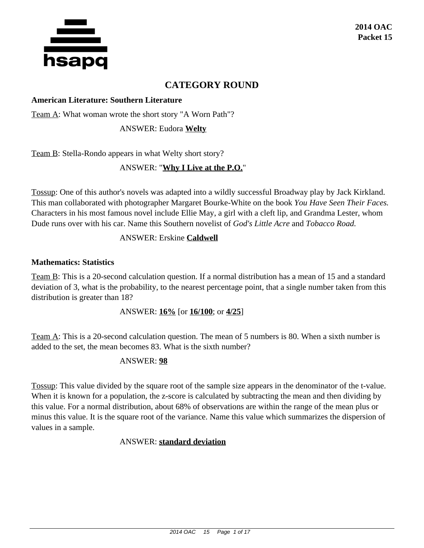

# **CATEGORY ROUND**

#### **American Literature: Southern Literature**

Team A: What woman wrote the short story "A Worn Path"?

ANSWER: Eudora **Welty**

Team B: Stella-Rondo appears in what Welty short story?

## ANSWER: "**Why I Live at the P.O.**"

Tossup: One of this author's novels was adapted into a wildly successful Broadway play by Jack Kirkland. This man collaborated with photographer Margaret Bourke-White on the book *You Have Seen Their Faces.* Characters in his most famous novel include Ellie May, a girl with a cleft lip, and Grandma Lester, whom Dude runs over with his car. Name this Southern novelist of *God's Little Acre* and *Tobacco Road.*

## ANSWER: Erskine **Caldwell**

#### **Mathematics: Statistics**

Team B: This is a 20-second calculation question. If a normal distribution has a mean of 15 and a standard deviation of 3, what is the probability, to the nearest percentage point, that a single number taken from this distribution is greater than 18?

ANSWER: **16%** [or **16/100**; or **4/25**]

Team A: This is a 20-second calculation question. The mean of 5 numbers is 80. When a sixth number is added to the set, the mean becomes 83. What is the sixth number?

#### ANSWER: **98**

Tossup: This value divided by the square root of the sample size appears in the denominator of the t-value. When it is known for a population, the z-score is calculated by subtracting the mean and then dividing by this value. For a normal distribution, about 68% of observations are within the range of the mean plus or minus this value. It is the square root of the variance. Name this value which summarizes the dispersion of values in a sample.

#### ANSWER: **standard deviation**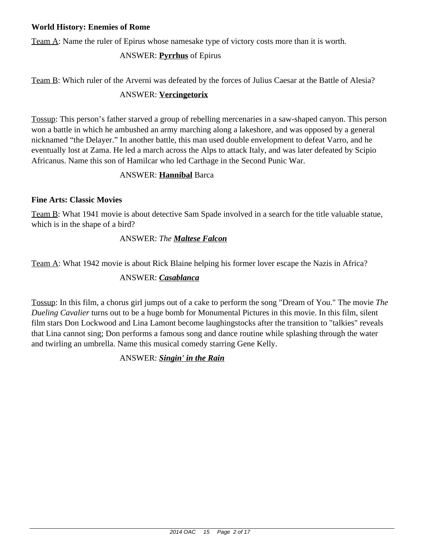#### **World History: Enemies of Rome**

Team A: Name the ruler of Epirus whose namesake type of victory costs more than it is worth.

# ANSWER: **Pyrrhus** of Epirus

Team B: Which ruler of the Arverni was defeated by the forces of Julius Caesar at the Battle of Alesia?

## ANSWER: **Vercingetorix**

Tossup: This person's father starved a group of rebelling mercenaries in a saw-shaped canyon. This person won a battle in which he ambushed an army marching along a lakeshore, and was opposed by a general nicknamed "the Delayer." In another battle, this man used double envelopment to defeat Varro, and he eventually lost at Zama. He led a march across the Alps to attack Italy, and was later defeated by Scipio Africanus. Name this son of Hamilcar who led Carthage in the Second Punic War.

## ANSWER: **Hannibal** Barca

## **Fine Arts: Classic Movies**

Team B: What 1941 movie is about detective Sam Spade involved in a search for the title valuable statue, which is in the shape of a bird?

# ANSWER: *The Maltese Falcon*

Team A: What 1942 movie is about Rick Blaine helping his former lover escape the Nazis in Africa?

# ANSWER: *Casablanca*

Tossup: In this film, a chorus girl jumps out of a cake to perform the song "Dream of You." The movie *The Dueling Cavalier* turns out to be a huge bomb for Monumental Pictures in this movie. In this film, silent film stars Don Lockwood and Lina Lamont become laughingstocks after the transition to "talkies" reveals that Lina cannot sing; Don performs a famous song and dance routine while splashing through the water and twirling an umbrella. Name this musical comedy starring Gene Kelly.

# ANSWER: *Singin' in the Rain*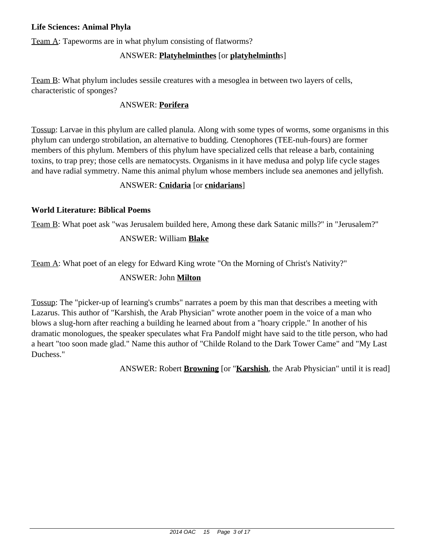#### **Life Sciences: Animal Phyla**

Team A: Tapeworms are in what phylum consisting of flatworms?

# ANSWER: **Platyhelminthes** [or **platyhelminth**s]

Team B: What phylum includes sessile creatures with a mesoglea in between two layers of cells, characteristic of sponges?

## ANSWER: **Porifera**

Tossup: Larvae in this phylum are called planula. Along with some types of worms, some organisms in this phylum can undergo strobilation, an alternative to budding. Ctenophores (TEE-nuh-fours) are former members of this phylum. Members of this phylum have specialized cells that release a barb, containing toxins, to trap prey; those cells are nematocysts. Organisms in it have medusa and polyp life cycle stages and have radial symmetry. Name this animal phylum whose members include sea anemones and jellyfish.

## ANSWER: **Cnidaria** [or **cnidarians**]

#### **World Literature: Biblical Poems**

Team B: What poet ask "was Jerusalem builded here, Among these dark Satanic mills?" in "Jerusalem?"

## ANSWER: William **Blake**

Team A: What poet of an elegy for Edward King wrote "On the Morning of Christ's Nativity?"

## ANSWER: John **Milton**

Tossup: The "picker-up of learning's crumbs" narrates a poem by this man that describes a meeting with Lazarus. This author of "Karshish, the Arab Physician" wrote another poem in the voice of a man who blows a slug-horn after reaching a building he learned about from a "hoary cripple." In another of his dramatic monologues, the speaker speculates what Fra Pandolf might have said to the title person, who had a heart "too soon made glad." Name this author of "Childe Roland to the Dark Tower Came" and "My Last Duchess."

ANSWER: Robert **Browning** [or "**Karshish**, the Arab Physician" until it is read]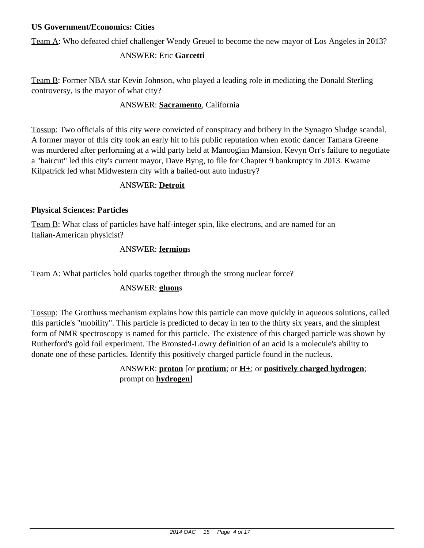#### **US Government/Economics: Cities**

Team A: Who defeated chief challenger Wendy Greuel to become the new mayor of Los Angeles in 2013?

# ANSWER: Eric **Garcetti**

Team B: Former NBA star Kevin Johnson, who played a leading role in mediating the Donald Sterling controversy, is the mayor of what city?

# ANSWER: **Sacramento**, California

Tossup: Two officials of this city were convicted of conspiracy and bribery in the Synagro Sludge scandal. A former mayor of this city took an early hit to his public reputation when exotic dancer Tamara Greene was murdered after performing at a wild party held at Manoogian Mansion. Kevyn Orr's failure to negotiate a "haircut" led this city's current mayor, Dave Byng, to file for Chapter 9 bankruptcy in 2013. Kwame Kilpatrick led what Midwestern city with a bailed-out auto industry?

## ANSWER: **Detroit**

## **Physical Sciences: Particles**

Team B: What class of particles have half-integer spin, like electrons, and are named for an Italian-American physicist?

# ANSWER: **fermion**s

Team A: What particles hold quarks together through the strong nuclear force?

# ANSWER: **gluon**s

Tossup: The Grotthuss mechanism explains how this particle can move quickly in aqueous solutions, called this particle's "mobility". This particle is predicted to decay in ten to the thirty six years, and the simplest form of NMR spectroscopy is named for this particle. The existence of this charged particle was shown by Rutherford's gold foil experiment. The Bronsted-Lowry definition of an acid is a molecule's ability to donate one of these particles. Identify this positively charged particle found in the nucleus.

# ANSWER: **proton** [or **protium**; or **H+**; or **positively charged hydrogen**; prompt on **hydrogen**]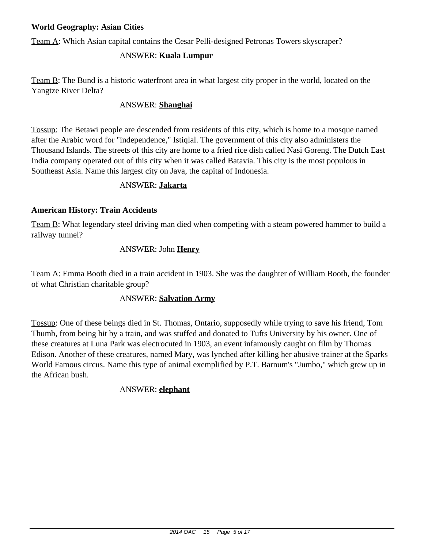#### **World Geography: Asian Cities**

Team A: Which Asian capital contains the Cesar Pelli-designed Petronas Towers skyscraper?

## ANSWER: **Kuala Lumpur**

Team B: The Bund is a historic waterfront area in what largest city proper in the world, located on the Yangtze River Delta?

## ANSWER: **Shanghai**

Tossup: The Betawi people are descended from residents of this city, which is home to a mosque named after the Arabic word for "independence," Istiqlal. The government of this city also administers the Thousand Islands. The streets of this city are home to a fried rice dish called Nasi Goreng. The Dutch East India company operated out of this city when it was called Batavia. This city is the most populous in Southeast Asia. Name this largest city on Java, the capital of Indonesia.

#### ANSWER: **Jakarta**

#### **American History: Train Accidents**

Team B: What legendary steel driving man died when competing with a steam powered hammer to build a railway tunnel?

## ANSWER: John **Henry**

Team A: Emma Booth died in a train accident in 1903. She was the daughter of William Booth, the founder of what Christian charitable group?

#### ANSWER: **Salvation Army**

Tossup: One of these beings died in St. Thomas, Ontario, supposedly while trying to save his friend, Tom Thumb, from being hit by a train, and was stuffed and donated to Tufts University by his owner. One of these creatures at Luna Park was electrocuted in 1903, an event infamously caught on film by Thomas Edison. Another of these creatures, named Mary, was lynched after killing her abusive trainer at the Sparks World Famous circus. Name this type of animal exemplified by P.T. Barnum's "Jumbo," which grew up in the African bush.

#### ANSWER: **elephant**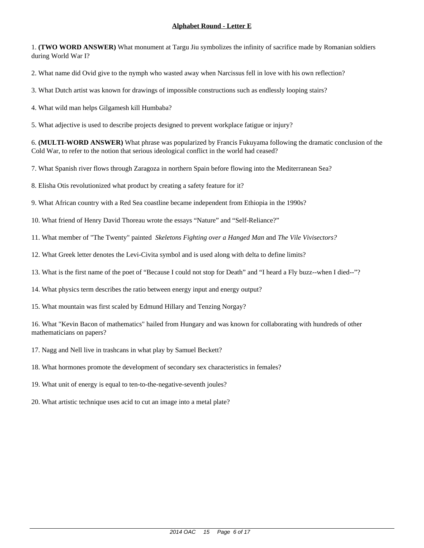1. **(TWO WORD ANSWER)** What monument at Targu Jiu symbolizes the infinity of sacrifice made by Romanian soldiers during World War I?

2. What name did Ovid give to the nymph who wasted away when Narcissus fell in love with his own reflection?

3. What Dutch artist was known for drawings of impossible constructions such as endlessly looping stairs?

4. What wild man helps Gilgamesh kill Humbaba?

5. What adjective is used to describe projects designed to prevent workplace fatigue or injury?

6. **(MULTI-WORD ANSWER)** What phrase was popularized by Francis Fukuyama following the dramatic conclusion of the Cold War, to refer to the notion that serious ideological conflict in the world had ceased?

7. What Spanish river flows through Zaragoza in northern Spain before flowing into the Mediterranean Sea?

8. Elisha Otis revolutionized what product by creating a safety feature for it?

9. What African country with a Red Sea coastline became independent from Ethiopia in the 1990s?

10. What friend of Henry David Thoreau wrote the essays "Nature" and "Self-Reliance?"

11. What member of "The Twenty" painted *Skeletons Fighting over a Hanged Man* and *The Vile Vivisectors?*

12. What Greek letter denotes the Levi-Civita symbol and is used along with delta to define limits?

13. What is the first name of the poet of "Because I could not stop for Death" and "I heard a Fly buzz--when I died--"?

14. What physics term describes the ratio between energy input and energy output?

15. What mountain was first scaled by Edmund Hillary and Tenzing Norgay?

16. What "Kevin Bacon of mathematics" hailed from Hungary and was known for collaborating with hundreds of other mathematicians on papers?

17. Nagg and Nell live in trashcans in what play by Samuel Beckett?

18. What hormones promote the development of secondary sex characteristics in females?

19. What unit of energy is equal to ten-to-the-negative-seventh joules?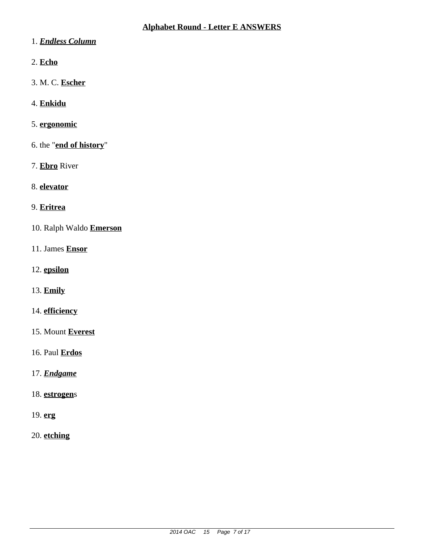- 1. *Endless Column*
- 2. **Echo**
- 3. M. C. **Escher**
- 4. **Enkidu**
- 5. **ergonomic**
- 6. the "**end of history**"
- 7. **Ebro** River
- 8. **elevator**
- 9. **Eritrea**
- 10. Ralph Waldo **Emerson**
- 11. James **Ensor**
- 12. **epsilon**
- 13. **Emily**
- 14. **efficiency**
- 15. Mount **Everest**
- 16. Paul **Erdos**
- 17. *Endgame*
- 18. **estrogen**s
- 19. **erg**
- 20. **etching**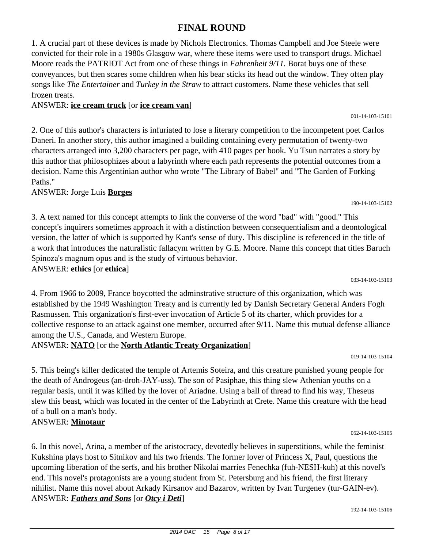# 2014 OAC 15 Page 8 of 17

#### **FINAL ROUND**

1. A crucial part of these devices is made by Nichols Electronics. Thomas Campbell and Joe Steele were convicted for their role in a 1980s Glasgow war, where these items were used to transport drugs. Michael Moore reads the PATRIOT Act from one of these things in *Fahrenheit 9/11.* Borat buys one of these conveyances, but then scares some children when his bear sticks its head out the window. They often play songs like *The Entertainer* and *Turkey in the Straw* to attract customers. Name these vehicles that sell frozen treats.

#### ANSWER: **ice cream truck** [or **ice cream van**]

2. One of this author's characters is infuriated to lose a literary competition to the incompetent poet Carlos Daneri. In another story, this author imagined a building containing every permutation of twenty-two characters arranged into 3,200 characters per page, with 410 pages per book. Yu Tsun narrates a story by this author that philosophizes about a labyrinth where each path represents the potential outcomes from a decision. Name this Argentinian author who wrote "The Library of Babel" and "The Garden of Forking Paths."

#### ANSWER: Jorge Luis **Borges**

3. A text named for this concept attempts to link the converse of the word "bad" with "good." This concept's inquirers sometimes approach it with a distinction between consequentialism and a deontological version, the latter of which is supported by Kant's sense of duty. This discipline is referenced in the title of a work that introduces the naturalistic fallacym written by G.E. Moore. Name this concept that titles Baruch Spinoza's magnum opus and is the study of virtuous behavior.

#### ANSWER: **ethics** [or **ethica**]

4. From 1966 to 2009, France boycotted the adminstrative structure of this organization, which was established by the 1949 Washington Treaty and is currently led by Danish Secretary General Anders Fogh Rasmussen. This organization's first-ever invocation of Article 5 of its charter, which provides for a collective response to an attack against one member, occurred after 9/11. Name this mutual defense alliance among the U.S., Canada, and Western Europe.

#### ANSWER: **NATO** [or the **North Atlantic Treaty Organization**]

019-14-103-15104

033-14-103-15103

5. This being's killer dedicated the temple of Artemis Soteira, and this creature punished young people for the death of Androgeus (an-droh-JAY-uss). The son of Pasiphae, this thing slew Athenian youths on a regular basis, until it was killed by the lover of Ariadne. Using a ball of thread to find his way, Theseus slew this beast, which was located in the center of the Labyrinth at Crete. Name this creature with the head of a bull on a man's body.

#### ANSWER: **Minotaur**

6. In this novel, Arina, a member of the aristocracy, devotedly believes in superstitions, while the feminist Kukshina plays host to Sitnikov and his two friends. The former lover of Princess X, Paul, questions the upcoming liberation of the serfs, and his brother Nikolai marries Fenechka (fuh-NESH-kuh) at this novel's end. This novel's protagonists are a young student from St. Petersburg and his friend, the first literary nihilist. Name this novel about Arkady Kirsanov and Bazarov, written by Ivan Turgenev (tur-GAIN-ev). ANSWER: *Fathers and Sons* [or *Otcy i Deti*]

192-14-103-15106

052-14-103-15105



190-14-103-15102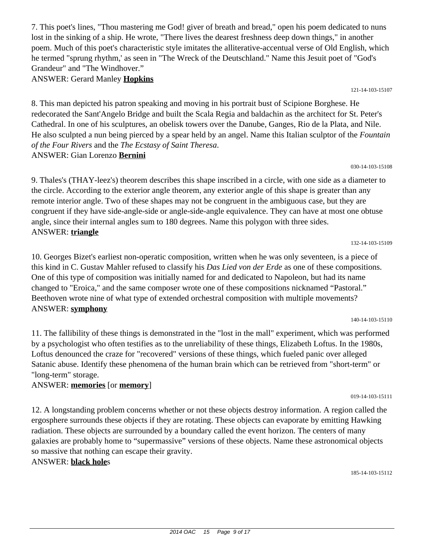2014 OAC 15 Page 9 of 17

7. This poet's lines, "Thou mastering me God! giver of breath and bread," open his poem dedicated to nuns lost in the sinking of a ship. He wrote, "There lives the dearest freshness deep down things," in another poem. Much of this poet's characteristic style imitates the alliterative-accentual verse of Old English, which he termed "sprung rhythm,' as seen in "The Wreck of the Deutschland." Name this Jesuit poet of "God's Grandeur" and "The Windhover."

ANSWER: Gerard Manley **Hopkins**

8. This man depicted his patron speaking and moving in his portrait bust of Scipione Borghese. He redecorated the Sant'Angelo Bridge and built the Scala Regia and baldachin as the architect for St. Peter's Cathedral. In one of his sculptures, an obelisk towers over the Danube, Ganges, Rio de la Plata, and Nile. He also sculpted a nun being pierced by a spear held by an angel. Name this Italian sculptor of the *Fountain of the Four Rivers* and the *The Ecstasy of Saint Theresa*. ANSWER: Gian Lorenzo **Bernini**

121-14-103-15107

9. Thales's (THAY-leez's) theorem describes this shape inscribed in a circle, with one side as a diameter to the circle. According to the exterior angle theorem, any exterior angle of this shape is greater than any remote interior angle. Two of these shapes may not be congruent in the ambiguous case, but they are congruent if they have side-angle-side or angle-side-angle equivalence. They can have at most one obtuse angle, since their internal angles sum to 180 degrees. Name this polygon with three sides. ANSWER: **triangle**

10. Georges Bizet's earliest non-operatic composition, written when he was only seventeen, is a piece of this kind in C. Gustav Mahler refused to classify his *Das Lied von der Erde* as one of these compositions. One of this type of composition was initially named for and dedicated to Napoleon, but had its name changed to "Eroica," and the same composer wrote one of these compositions nicknamed "Pastoral." Beethoven wrote nine of what type of extended orchestral composition with multiple movements? ANSWER: **symphony**

11. The fallibility of these things is demonstrated in the "lost in the mall" experiment, which was performed by a psychologist who often testifies as to the unreliability of these things, Elizabeth Loftus. In the 1980s, Loftus denounced the craze for "recovered" versions of these things, which fueled panic over alleged Satanic abuse. Identify these phenomena of the human brain which can be retrieved from "short-term" or "long-term" storage.

#### ANSWER: **memories** [or **memory**]

12. A longstanding problem concerns whether or not these objects destroy information. A region called the ergosphere surrounds these objects if they are rotating. These objects can evaporate by emitting Hawking radiation. These objects are surrounded by a boundary called the event horizon. The centers of many galaxies are probably home to "supermassive" versions of these objects. Name these astronomical objects so massive that nothing can escape their gravity.

## ANSWER: **black hole**s

185-14-103-15112

132-14-103-15109

140-14-103-15110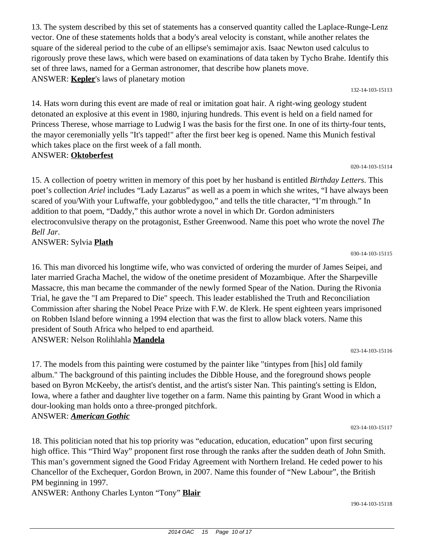ANSWER: Sylvia **Plath**

16. This man divorced his longtime wife, who was convicted of ordering the murder of James Seipei, and later married Gracha Machel, the widow of the onetime president of Mozambique. After the Sharpeville Massacre, this man became the commander of the newly formed Spear of the Nation. During the Rivonia Trial, he gave the "I am Prepared to Die" speech. This leader established the Truth and Reconciliation Commission after sharing the Nobel Peace Prize with F.W. de Klerk. He spent eighteen years imprisoned on Robben Island before winning a 1994 election that was the first to allow black voters. Name this president of South Africa who helped to end apartheid. ANSWER: Nelson Rolihlahla **Mandela**

17. The models from this painting were costumed by the painter like "tintypes from [his] old family album." The background of this painting includes the Dibble House, and the foreground shows people based on Byron McKeeby, the artist's dentist, and the artist's sister Nan. This painting's setting is Eldon, Iowa, where a father and daughter live together on a farm. Name this painting by Grant Wood in which a

023-14-103-15116

18. This politician noted that his top priority was "education, education, education" upon first securing high office. This "Third Way" proponent first rose through the ranks after the sudden death of John Smith. This man's government signed the Good Friday Agreement with Northern Ireland. He ceded power to his Chancellor of the Exchequer, Gordon Brown, in 2007. Name this founder of "New Labour", the British PM beginning in 1997.

ANSWER: Anthony Charles Lynton "Tony" **Blair**

dour-looking man holds onto a three-pronged pitchfork.

ANSWER: *American Gothic*

2014 OAC 15 Page 10 of 17

vector. One of these statements holds that a body's areal velocity is constant, while another relates the square of the sidereal period to the cube of an ellipse's semimajor axis. Isaac Newton used calculus to rigorously prove these laws, which were based on examinations of data taken by Tycho Brahe. Identify this set of three laws, named for a German astronomer, that describe how planets move. ANSWER: **Kepler**'s laws of planetary motion 132-14-103-15113

13. The system described by this set of statements has a conserved quantity called the Laplace-Runge-Lenz

14. Hats worn during this event are made of real or imitation goat hair. A right-wing geology student detonated an explosive at this event in 1980, injuring hundreds. This event is held on a field named for Princess Therese, whose marriage to Ludwig I was the basis for the first one. In one of its thirty-four tents, the mayor ceremonially yells "It's tapped!" after the first beer keg is opened. Name this Munich festival which takes place on the first week of a fall month.

15. A collection of poetry written in memory of this poet by her husband is entitled *Birthday Letters*. This poet's collection *Ariel* includes "Lady Lazarus" as well as a poem in which she writes, "I have always been scared of you/With your Luftwaffe, your gobbledygoo," and tells the title character, "I'm through." In

electroconvulsive therapy on the protagonist, Esther Greenwood. Name this poet who wrote the novel *The*

addition to that poem, "Daddy," this author wrote a novel in which Dr. Gordon administers

# ANSWER: **Oktoberfest**

*Bell Jar*.

030-14-103-15115

020-14-103-15114

023-14-103-15117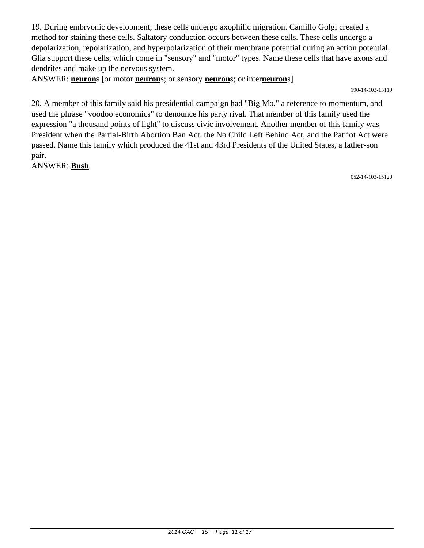19. During embryonic development, these cells undergo axophilic migration. Camillo Golgi created a method for staining these cells. Saltatory conduction occurs between these cells. These cells undergo a depolarization, repolarization, and hyperpolarization of their membrane potential during an action potential. Glia support these cells, which come in "sensory" and "motor" types. Name these cells that have axons and dendrites and make up the nervous system.

ANSWER: **neuron**s [or motor **neuron**s; or sensory **neuron**s; or inter**neuron**s]

190-14-103-15119

20. A member of this family said his presidential campaign had "Big Mo," a reference to momentum, and used the phrase "voodoo economics" to denounce his party rival. That member of this family used the expression "a thousand points of light" to discuss civic involvement. Another member of this family was President when the Partial-Birth Abortion Ban Act, the No Child Left Behind Act, and the Patriot Act were passed. Name this family which produced the 41st and 43rd Presidents of the United States, a father-son pair.

ANSWER: **Bush**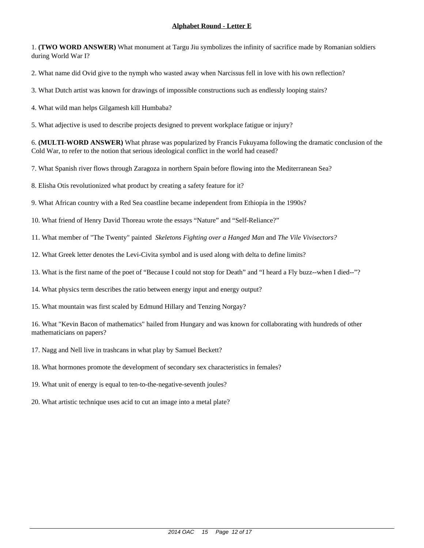1. **(TWO WORD ANSWER)** What monument at Targu Jiu symbolizes the infinity of sacrifice made by Romanian soldiers during World War I?

2. What name did Ovid give to the nymph who wasted away when Narcissus fell in love with his own reflection?

3. What Dutch artist was known for drawings of impossible constructions such as endlessly looping stairs?

4. What wild man helps Gilgamesh kill Humbaba?

5. What adjective is used to describe projects designed to prevent workplace fatigue or injury?

6. **(MULTI-WORD ANSWER)** What phrase was popularized by Francis Fukuyama following the dramatic conclusion of the Cold War, to refer to the notion that serious ideological conflict in the world had ceased?

7. What Spanish river flows through Zaragoza in northern Spain before flowing into the Mediterranean Sea?

8. Elisha Otis revolutionized what product by creating a safety feature for it?

9. What African country with a Red Sea coastline became independent from Ethiopia in the 1990s?

10. What friend of Henry David Thoreau wrote the essays "Nature" and "Self-Reliance?"

11. What member of "The Twenty" painted *Skeletons Fighting over a Hanged Man* and *The Vile Vivisectors?*

12. What Greek letter denotes the Levi-Civita symbol and is used along with delta to define limits?

13. What is the first name of the poet of "Because I could not stop for Death" and "I heard a Fly buzz--when I died--"?

14. What physics term describes the ratio between energy input and energy output?

15. What mountain was first scaled by Edmund Hillary and Tenzing Norgay?

16. What "Kevin Bacon of mathematics" hailed from Hungary and was known for collaborating with hundreds of other mathematicians on papers?

17. Nagg and Nell live in trashcans in what play by Samuel Beckett?

18. What hormones promote the development of secondary sex characteristics in females?

19. What unit of energy is equal to ten-to-the-negative-seventh joules?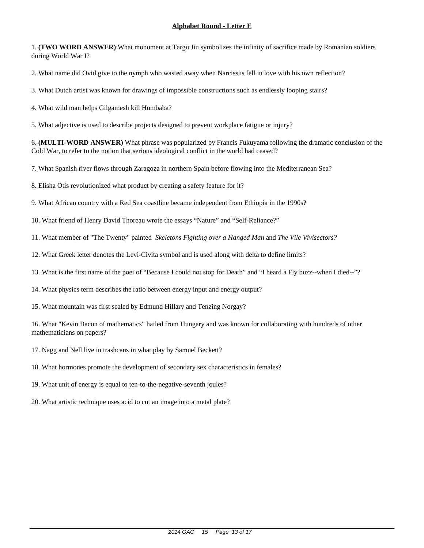1. **(TWO WORD ANSWER)** What monument at Targu Jiu symbolizes the infinity of sacrifice made by Romanian soldiers during World War I?

2. What name did Ovid give to the nymph who wasted away when Narcissus fell in love with his own reflection?

3. What Dutch artist was known for drawings of impossible constructions such as endlessly looping stairs?

4. What wild man helps Gilgamesh kill Humbaba?

5. What adjective is used to describe projects designed to prevent workplace fatigue or injury?

6. **(MULTI-WORD ANSWER)** What phrase was popularized by Francis Fukuyama following the dramatic conclusion of the Cold War, to refer to the notion that serious ideological conflict in the world had ceased?

7. What Spanish river flows through Zaragoza in northern Spain before flowing into the Mediterranean Sea?

8. Elisha Otis revolutionized what product by creating a safety feature for it?

9. What African country with a Red Sea coastline became independent from Ethiopia in the 1990s?

10. What friend of Henry David Thoreau wrote the essays "Nature" and "Self-Reliance?"

11. What member of "The Twenty" painted *Skeletons Fighting over a Hanged Man* and *The Vile Vivisectors?*

12. What Greek letter denotes the Levi-Civita symbol and is used along with delta to define limits?

13. What is the first name of the poet of "Because I could not stop for Death" and "I heard a Fly buzz--when I died--"?

14. What physics term describes the ratio between energy input and energy output?

15. What mountain was first scaled by Edmund Hillary and Tenzing Norgay?

16. What "Kevin Bacon of mathematics" hailed from Hungary and was known for collaborating with hundreds of other mathematicians on papers?

17. Nagg and Nell live in trashcans in what play by Samuel Beckett?

18. What hormones promote the development of secondary sex characteristics in females?

19. What unit of energy is equal to ten-to-the-negative-seventh joules?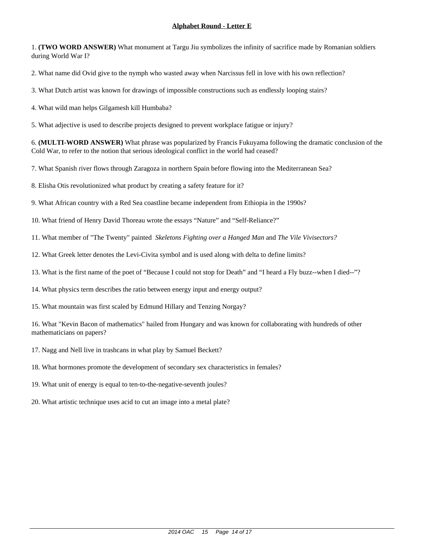1. **(TWO WORD ANSWER)** What monument at Targu Jiu symbolizes the infinity of sacrifice made by Romanian soldiers during World War I?

2. What name did Ovid give to the nymph who wasted away when Narcissus fell in love with his own reflection?

3. What Dutch artist was known for drawings of impossible constructions such as endlessly looping stairs?

4. What wild man helps Gilgamesh kill Humbaba?

5. What adjective is used to describe projects designed to prevent workplace fatigue or injury?

6. **(MULTI-WORD ANSWER)** What phrase was popularized by Francis Fukuyama following the dramatic conclusion of the Cold War, to refer to the notion that serious ideological conflict in the world had ceased?

7. What Spanish river flows through Zaragoza in northern Spain before flowing into the Mediterranean Sea?

8. Elisha Otis revolutionized what product by creating a safety feature for it?

9. What African country with a Red Sea coastline became independent from Ethiopia in the 1990s?

10. What friend of Henry David Thoreau wrote the essays "Nature" and "Self-Reliance?"

11. What member of "The Twenty" painted *Skeletons Fighting over a Hanged Man* and *The Vile Vivisectors?*

12. What Greek letter denotes the Levi-Civita symbol and is used along with delta to define limits?

13. What is the first name of the poet of "Because I could not stop for Death" and "I heard a Fly buzz--when I died--"?

14. What physics term describes the ratio between energy input and energy output?

15. What mountain was first scaled by Edmund Hillary and Tenzing Norgay?

16. What "Kevin Bacon of mathematics" hailed from Hungary and was known for collaborating with hundreds of other mathematicians on papers?

17. Nagg and Nell live in trashcans in what play by Samuel Beckett?

18. What hormones promote the development of secondary sex characteristics in females?

19. What unit of energy is equal to ten-to-the-negative-seventh joules?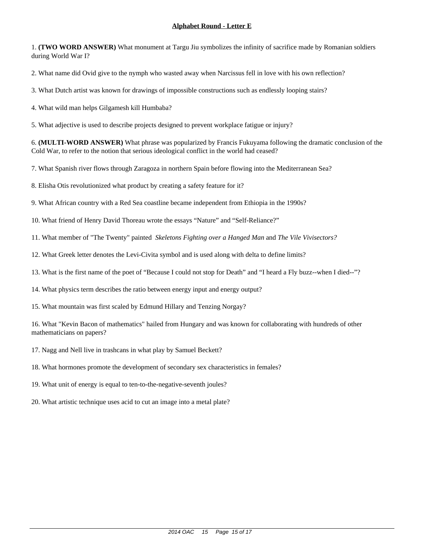1. **(TWO WORD ANSWER)** What monument at Targu Jiu symbolizes the infinity of sacrifice made by Romanian soldiers during World War I?

2. What name did Ovid give to the nymph who wasted away when Narcissus fell in love with his own reflection?

3. What Dutch artist was known for drawings of impossible constructions such as endlessly looping stairs?

4. What wild man helps Gilgamesh kill Humbaba?

5. What adjective is used to describe projects designed to prevent workplace fatigue or injury?

6. **(MULTI-WORD ANSWER)** What phrase was popularized by Francis Fukuyama following the dramatic conclusion of the Cold War, to refer to the notion that serious ideological conflict in the world had ceased?

7. What Spanish river flows through Zaragoza in northern Spain before flowing into the Mediterranean Sea?

8. Elisha Otis revolutionized what product by creating a safety feature for it?

9. What African country with a Red Sea coastline became independent from Ethiopia in the 1990s?

10. What friend of Henry David Thoreau wrote the essays "Nature" and "Self-Reliance?"

11. What member of "The Twenty" painted *Skeletons Fighting over a Hanged Man* and *The Vile Vivisectors?*

12. What Greek letter denotes the Levi-Civita symbol and is used along with delta to define limits?

13. What is the first name of the poet of "Because I could not stop for Death" and "I heard a Fly buzz--when I died--"?

14. What physics term describes the ratio between energy input and energy output?

15. What mountain was first scaled by Edmund Hillary and Tenzing Norgay?

16. What "Kevin Bacon of mathematics" hailed from Hungary and was known for collaborating with hundreds of other mathematicians on papers?

17. Nagg and Nell live in trashcans in what play by Samuel Beckett?

18. What hormones promote the development of secondary sex characteristics in females?

19. What unit of energy is equal to ten-to-the-negative-seventh joules?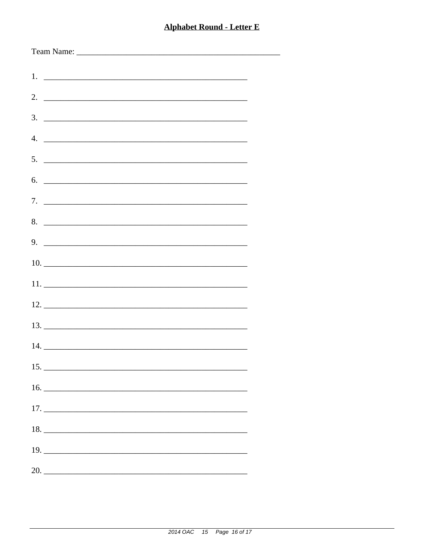| $5.$ $\overline{\phantom{a}}$                                                                                                                         |  |
|-------------------------------------------------------------------------------------------------------------------------------------------------------|--|
| 6.                                                                                                                                                    |  |
|                                                                                                                                                       |  |
| 8.                                                                                                                                                    |  |
|                                                                                                                                                       |  |
| $9.$ $\overline{\phantom{1.55\,\mathrm{m}}\phantom{1.55\,\mathrm{m}}\phantom{1.55\,\mathrm{m}}\phantom{1.55\,\mathrm{m}}\phantom{1.55\,\mathrm{m}}}}$ |  |
|                                                                                                                                                       |  |
|                                                                                                                                                       |  |
|                                                                                                                                                       |  |
|                                                                                                                                                       |  |
|                                                                                                                                                       |  |
|                                                                                                                                                       |  |
|                                                                                                                                                       |  |
|                                                                                                                                                       |  |
|                                                                                                                                                       |  |
|                                                                                                                                                       |  |
|                                                                                                                                                       |  |
|                                                                                                                                                       |  |
| 20.                                                                                                                                                   |  |